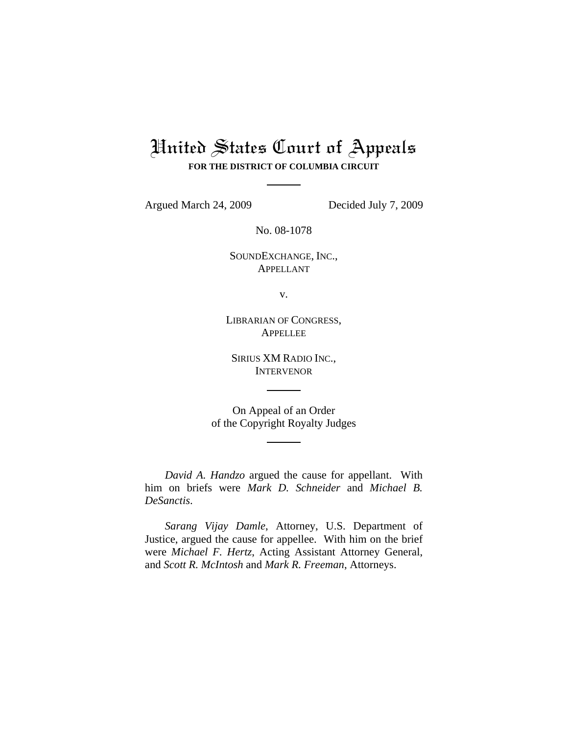## United States Court of Appeals **FOR THE DISTRICT OF COLUMBIA CIRCUIT**

Argued March 24, 2009 Decided July 7, 2009

No. 08-1078

SOUNDEXCHANGE, INC., APPELLANT

v.

LIBRARIAN OF CONGRESS, **APPELLEE** 

SIRIUS XM RADIO INC., **INTERVENOR** 

On Appeal of an Order of the Copyright Royalty Judges

*David A. Handzo* argued the cause for appellant. With him on briefs were *Mark D. Schneider* and *Michael B. DeSanctis*.

*Sarang Vijay Damle*, Attorney, U.S. Department of Justice, argued the cause for appellee. With him on the brief were *Michael F. Hertz*, Acting Assistant Attorney General, and *Scott R. McIntosh* and *Mark R. Freeman*, Attorneys.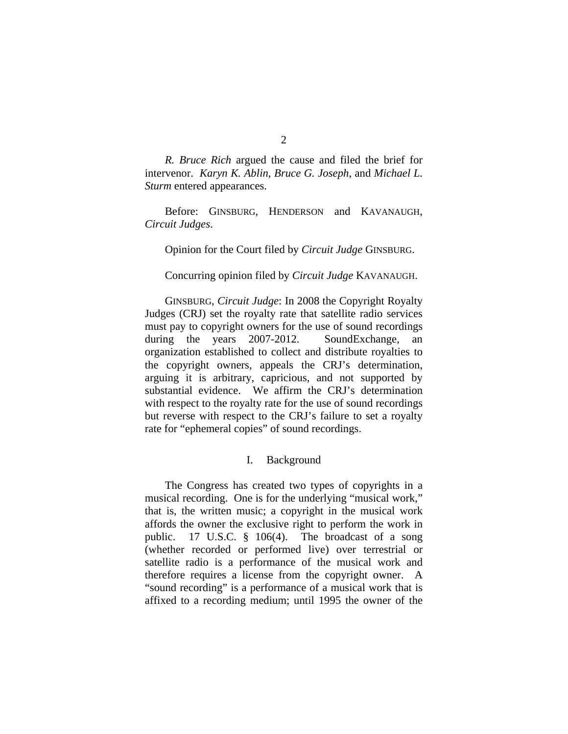*R. Bruce Rich* argued the cause and filed the brief for intervenor. *Karyn K. Ablin*, *Bruce G. Joseph*, and *Michael L. Sturm* entered appearances.

Before: GINSBURG, HENDERSON and KAVANAUGH, *Circuit Judges*.

Opinion for the Court filed by *Circuit Judge* GINSBURG.

Concurring opinion filed by *Circuit Judge* KAVANAUGH.

GINSBURG, *Circuit Judge*: In 2008 the Copyright Royalty Judges (CRJ) set the royalty rate that satellite radio services must pay to copyright owners for the use of sound recordings during the years 2007-2012. SoundExchange, an organization established to collect and distribute royalties to the copyright owners, appeals the CRJ's determination, arguing it is arbitrary, capricious, and not supported by substantial evidence. We affirm the CRJ's determination with respect to the royalty rate for the use of sound recordings but reverse with respect to the CRJ's failure to set a royalty rate for "ephemeral copies" of sound recordings.

## I. Background

The Congress has created two types of copyrights in a musical recording. One is for the underlying "musical work," that is, the written music; a copyright in the musical work affords the owner the exclusive right to perform the work in public. 17 U.S.C. § 106(4). The broadcast of a song (whether recorded or performed live) over terrestrial or satellite radio is a performance of the musical work and therefore requires a license from the copyright owner. A "sound recording" is a performance of a musical work that is affixed to a recording medium; until 1995 the owner of the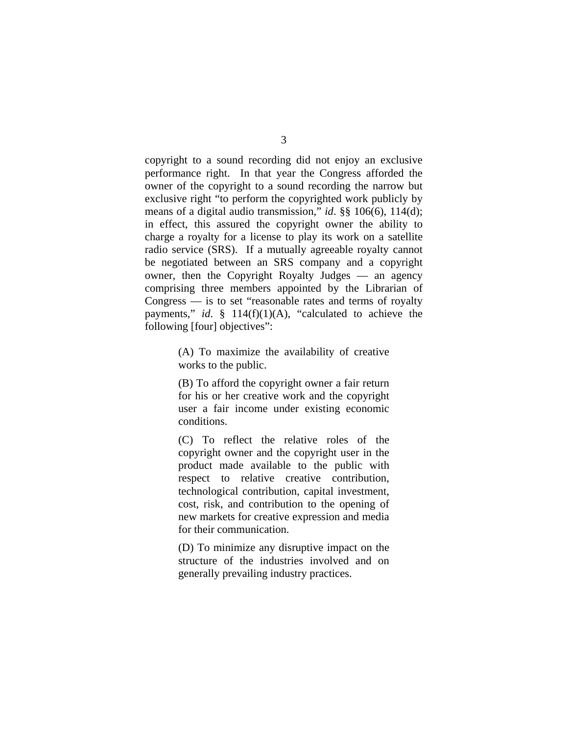copyright to a sound recording did not enjoy an exclusive performance right. In that year the Congress afforded the owner of the copyright to a sound recording the narrow but exclusive right "to perform the copyrighted work publicly by means of a digital audio transmission," *id*. §§ 106(6), 114(d); in effect, this assured the copyright owner the ability to charge a royalty for a license to play its work on a satellite radio service (SRS). If a mutually agreeable royalty cannot be negotiated between an SRS company and a copyright owner, then the Copyright Royalty Judges — an agency comprising three members appointed by the Librarian of Congress — is to set "reasonable rates and terms of royalty payments," *id*. § 114(f)(1)(A), "calculated to achieve the following [four] objectives":

> (A) To maximize the availability of creative works to the public.

> (B) To afford the copyright owner a fair return for his or her creative work and the copyright user a fair income under existing economic conditions.

> (C) To reflect the relative roles of the copyright owner and the copyright user in the product made available to the public with respect to relative creative contribution, technological contribution, capital investment, cost, risk, and contribution to the opening of new markets for creative expression and media for their communication.

> (D) To minimize any disruptive impact on the structure of the industries involved and on generally prevailing industry practices.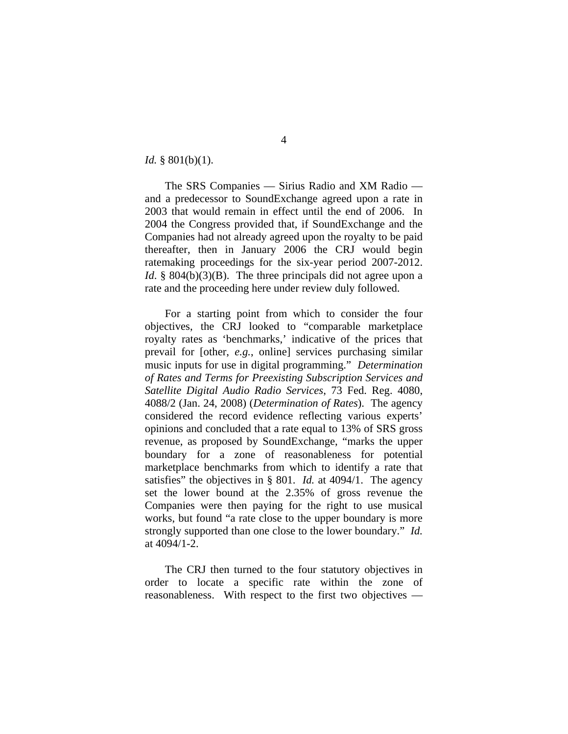*Id.* § 801(b)(1).

The SRS Companies — Sirius Radio and XM Radio and a predecessor to SoundExchange agreed upon a rate in 2003 that would remain in effect until the end of 2006. In 2004 the Congress provided that, if SoundExchange and the Companies had not already agreed upon the royalty to be paid thereafter, then in January 2006 the CRJ would begin ratemaking proceedings for the six-year period 2007-2012. *Id.* § 804(b)(3)(B). The three principals did not agree upon a rate and the proceeding here under review duly followed.

For a starting point from which to consider the four objectives, the CRJ looked to "comparable marketplace royalty rates as 'benchmarks,' indicative of the prices that prevail for [other, *e.g.*, online] services purchasing similar music inputs for use in digital programming." *Determination of Rates and Terms for Preexisting Subscription Services and Satellite Digital Audio Radio Services*, 73 Fed. Reg. 4080, 4088/2 (Jan. 24, 2008) (*Determination of Rates*). The agency considered the record evidence reflecting various experts' opinions and concluded that a rate equal to 13% of SRS gross revenue, as proposed by SoundExchange, "marks the upper boundary for a zone of reasonableness for potential marketplace benchmarks from which to identify a rate that satisfies" the objectives in § 801. *Id.* at 4094/1. The agency set the lower bound at the 2.35% of gross revenue the Companies were then paying for the right to use musical works, but found "a rate close to the upper boundary is more strongly supported than one close to the lower boundary." *Id.* at 4094/1-2.

The CRJ then turned to the four statutory objectives in order to locate a specific rate within the zone of reasonableness. With respect to the first two objectives —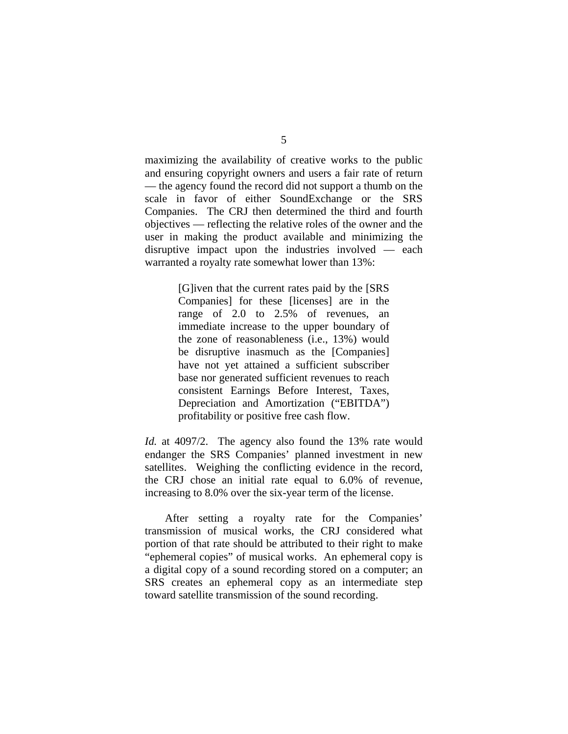maximizing the availability of creative works to the public and ensuring copyright owners and users a fair rate of return — the agency found the record did not support a thumb on the scale in favor of either SoundExchange or the SRS Companies. The CRJ then determined the third and fourth objectives — reflecting the relative roles of the owner and the user in making the product available and minimizing the disruptive impact upon the industries involved — each warranted a royalty rate somewhat lower than 13%:

> [G]iven that the current rates paid by the [SRS Companies] for these [licenses] are in the range of 2.0 to 2.5% of revenues, an immediate increase to the upper boundary of the zone of reasonableness (i.e., 13%) would be disruptive inasmuch as the [Companies] have not yet attained a sufficient subscriber base nor generated sufficient revenues to reach consistent Earnings Before Interest, Taxes, Depreciation and Amortization ("EBITDA") profitability or positive free cash flow.

*Id.* at 4097/2. The agency also found the 13% rate would endanger the SRS Companies' planned investment in new satellites. Weighing the conflicting evidence in the record, the CRJ chose an initial rate equal to 6.0% of revenue, increasing to 8.0% over the six-year term of the license.

 After setting a royalty rate for the Companies' transmission of musical works, the CRJ considered what portion of that rate should be attributed to their right to make "ephemeral copies" of musical works. An ephemeral copy is a digital copy of a sound recording stored on a computer; an SRS creates an ephemeral copy as an intermediate step toward satellite transmission of the sound recording.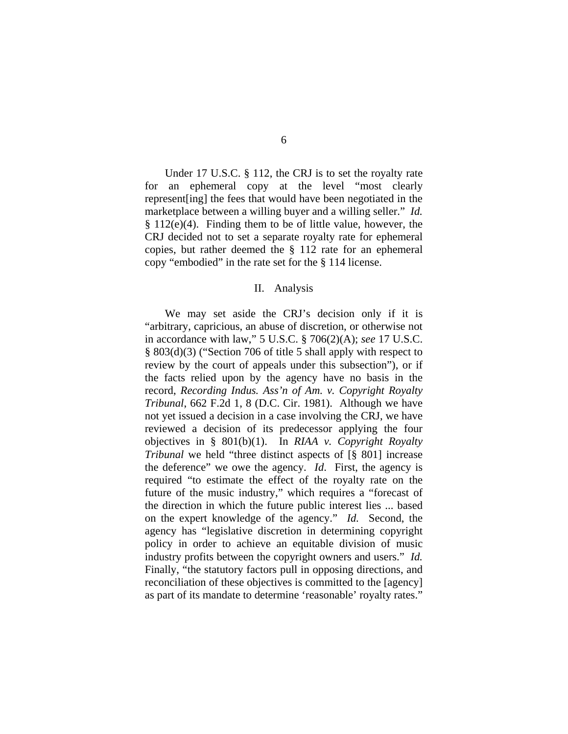Under 17 U.S.C. § 112, the CRJ is to set the royalty rate for an ephemeral copy at the level "most clearly represent[ing] the fees that would have been negotiated in the marketplace between a willing buyer and a willing seller." *Id.* § 112(e)(4). Finding them to be of little value, however, the CRJ decided not to set a separate royalty rate for ephemeral copies, but rather deemed the § 112 rate for an ephemeral copy "embodied" in the rate set for the § 114 license.

## II. Analysis

 We may set aside the CRJ's decision only if it is "arbitrary, capricious, an abuse of discretion, or otherwise not in accordance with law," 5 U.S.C. § 706(2)(A); *see* 17 U.S.C. § 803(d)(3) ("Section 706 of title 5 shall apply with respect to review by the court of appeals under this subsection"), or if the facts relied upon by the agency have no basis in the record, *Recording Indus. Ass'n of Am. v. Copyright Royalty Tribunal*, 662 F.2d 1, 8 (D.C. Cir. 1981). Although we have not yet issued a decision in a case involving the CRJ, we have reviewed a decision of its predecessor applying the four objectives in § 801(b)(1). In *RIAA v. Copyright Royalty Tribunal* we held "three distinct aspects of  $\lceil \S$  801] increase the deference" we owe the agency. *Id*. First, the agency is required "to estimate the effect of the royalty rate on the future of the music industry," which requires a "forecast of the direction in which the future public interest lies ... based on the expert knowledge of the agency." *Id.* Second, the agency has "legislative discretion in determining copyright policy in order to achieve an equitable division of music industry profits between the copyright owners and users." *Id.* Finally, "the statutory factors pull in opposing directions, and reconciliation of these objectives is committed to the [agency] as part of its mandate to determine 'reasonable' royalty rates."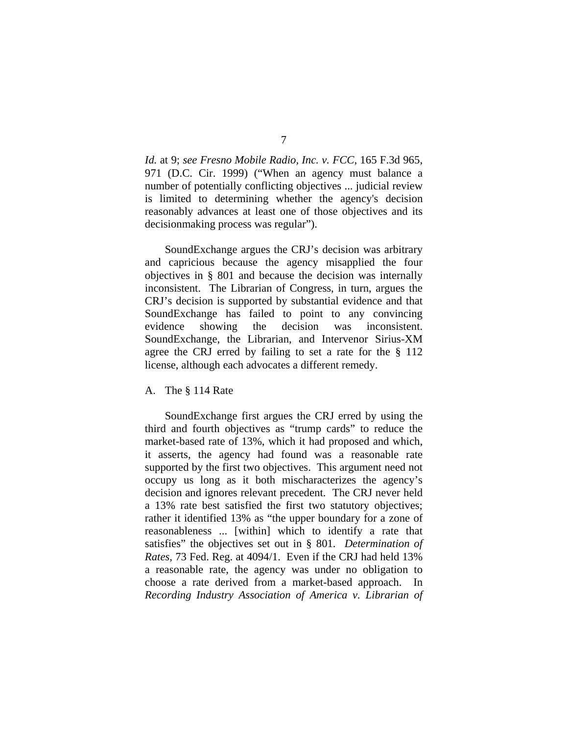*Id.* at 9; *see Fresno Mobile Radio, Inc. v. FCC*, 165 F.3d 965, 971 (D.C. Cir. 1999) ("When an agency must balance a number of potentially conflicting objectives ... judicial review is limited to determining whether the agency's decision reasonably advances at least one of those objectives and its decisionmaking process was regular").

 SoundExchange argues the CRJ's decision was arbitrary and capricious because the agency misapplied the four objectives in § 801 and because the decision was internally inconsistent. The Librarian of Congress, in turn, argues the CRJ's decision is supported by substantial evidence and that SoundExchange has failed to point to any convincing evidence showing the decision was inconsistent. SoundExchange, the Librarian, and Intervenor Sirius-XM agree the CRJ erred by failing to set a rate for the § 112 license, although each advocates a different remedy.

A. The § 114 Rate

 SoundExchange first argues the CRJ erred by using the third and fourth objectives as "trump cards" to reduce the market-based rate of 13%, which it had proposed and which, it asserts, the agency had found was a reasonable rate supported by the first two objectives. This argument need not occupy us long as it both mischaracterizes the agency's decision and ignores relevant precedent. The CRJ never held a 13% rate best satisfied the first two statutory objectives; rather it identified 13% as "the upper boundary for a zone of reasonableness ... [within] which to identify a rate that satisfies" the objectives set out in § 801. *Determination of Rates*, 73 Fed. Reg. at 4094/1. Even if the CRJ had held 13% a reasonable rate, the agency was under no obligation to choose a rate derived from a market-based approach. In *Recording Industry Association of America v. Librarian of*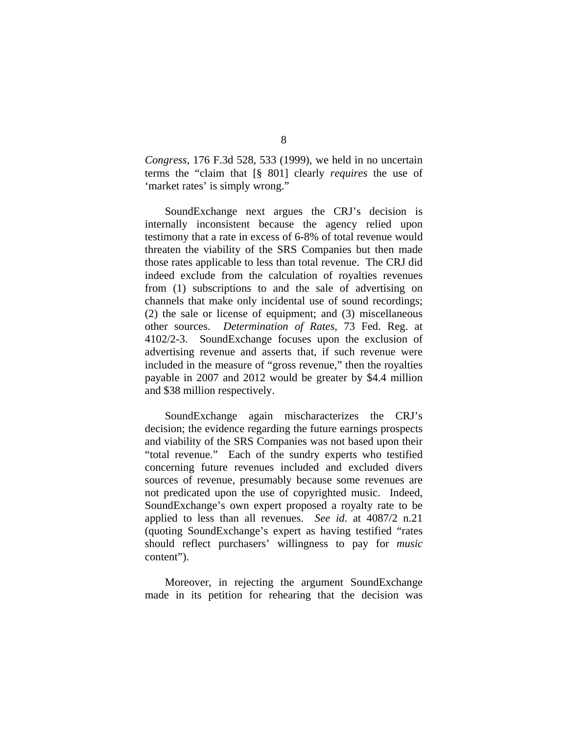*Congress*, 176 F.3d 528, 533 (1999), we held in no uncertain terms the "claim that [§ 801] clearly *requires* the use of 'market rates' is simply wrong."

 SoundExchange next argues the CRJ's decision is internally inconsistent because the agency relied upon testimony that a rate in excess of 6-8% of total revenue would threaten the viability of the SRS Companies but then made those rates applicable to less than total revenue. The CRJ did indeed exclude from the calculation of royalties revenues from (1) subscriptions to and the sale of advertising on channels that make only incidental use of sound recordings; (2) the sale or license of equipment; and (3) miscellaneous other sources. *Determination of Rates*, 73 Fed. Reg. at 4102/2-3. SoundExchange focuses upon the exclusion of advertising revenue and asserts that, if such revenue were included in the measure of "gross revenue," then the royalties payable in 2007 and 2012 would be greater by \$4.4 million and \$38 million respectively.

SoundExchange again mischaracterizes the CRJ's decision; the evidence regarding the future earnings prospects and viability of the SRS Companies was not based upon their "total revenue." Each of the sundry experts who testified concerning future revenues included and excluded divers sources of revenue, presumably because some revenues are not predicated upon the use of copyrighted music. Indeed, SoundExchange's own expert proposed a royalty rate to be applied to less than all revenues. *See id*. at 4087/2 n.21 (quoting SoundExchange's expert as having testified "rates should reflect purchasers' willingness to pay for *music* content").

Moreover, in rejecting the argument SoundExchange made in its petition for rehearing that the decision was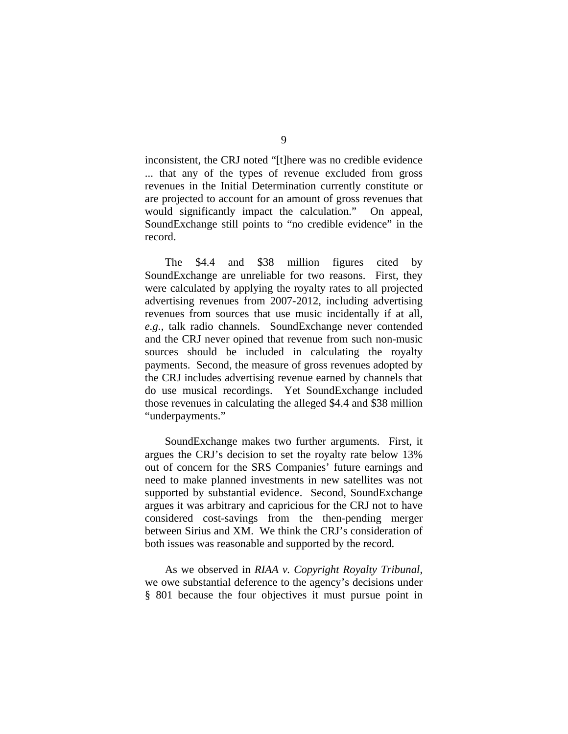inconsistent, the CRJ noted "[t]here was no credible evidence ... that any of the types of revenue excluded from gross revenues in the Initial Determination currently constitute or are projected to account for an amount of gross revenues that would significantly impact the calculation." On appeal, SoundExchange still points to "no credible evidence" in the record.

 The \$4.4 and \$38 million figures cited by SoundExchange are unreliable for two reasons. First, they were calculated by applying the royalty rates to all projected advertising revenues from 2007-2012, including advertising revenues from sources that use music incidentally if at all, *e.g.*, talk radio channels. SoundExchange never contended and the CRJ never opined that revenue from such non-music sources should be included in calculating the royalty payments. Second, the measure of gross revenues adopted by the CRJ includes advertising revenue earned by channels that do use musical recordings. Yet SoundExchange included those revenues in calculating the alleged \$4.4 and \$38 million "underpayments."

SoundExchange makes two further arguments. First, it argues the CRJ's decision to set the royalty rate below 13% out of concern for the SRS Companies' future earnings and need to make planned investments in new satellites was not supported by substantial evidence. Second, SoundExchange argues it was arbitrary and capricious for the CRJ not to have considered cost-savings from the then-pending merger between Sirius and XM. We think the CRJ's consideration of both issues was reasonable and supported by the record.

As we observed in *RIAA v. Copyright Royalty Tribunal*, we owe substantial deference to the agency's decisions under § 801 because the four objectives it must pursue point in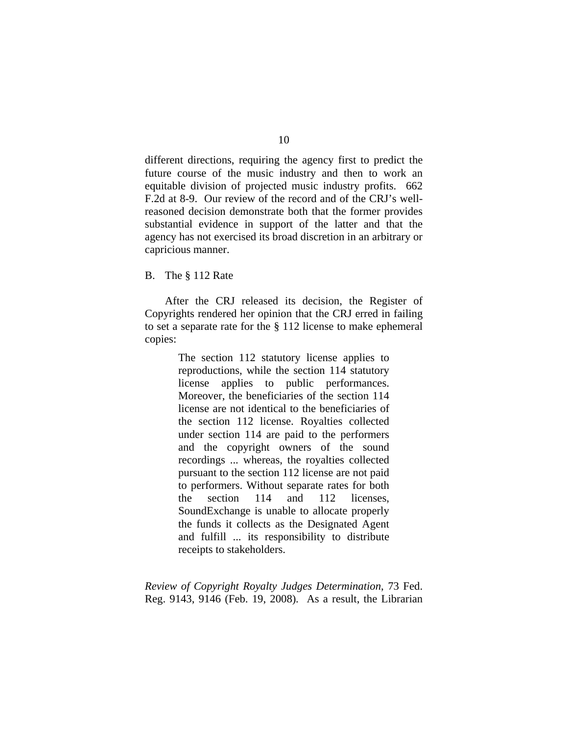different directions, requiring the agency first to predict the future course of the music industry and then to work an equitable division of projected music industry profits. 662 F.2d at 8-9. Our review of the record and of the CRJ's wellreasoned decision demonstrate both that the former provides substantial evidence in support of the latter and that the agency has not exercised its broad discretion in an arbitrary or capricious manner.

B. The § 112 Rate

 After the CRJ released its decision, the Register of Copyrights rendered her opinion that the CRJ erred in failing to set a separate rate for the § 112 license to make ephemeral copies:

> The section 112 statutory license applies to reproductions, while the section 114 statutory license applies to public performances. Moreover, the beneficiaries of the section 114 license are not identical to the beneficiaries of the section 112 license. Royalties collected under section 114 are paid to the performers and the copyright owners of the sound recordings ... whereas, the royalties collected pursuant to the section 112 license are not paid to performers. Without separate rates for both the section 114 and 112 licenses, SoundExchange is unable to allocate properly the funds it collects as the Designated Agent and fulfill ... its responsibility to distribute receipts to stakeholders.

*Review of Copyright Royalty Judges Determination*, 73 Fed. Reg. 9143, 9146 (Feb. 19, 2008)*.* As a result, the Librarian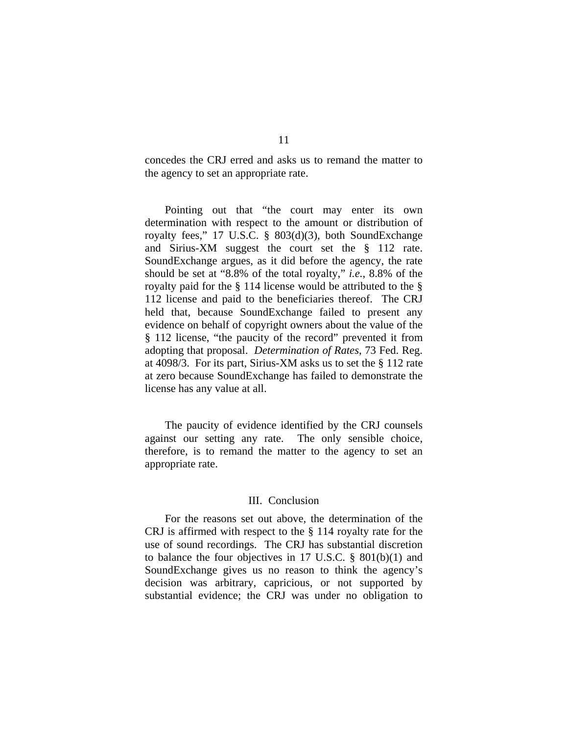concedes the CRJ erred and asks us to remand the matter to the agency to set an appropriate rate.

Pointing out that "the court may enter its own determination with respect to the amount or distribution of royalty fees," 17 U.S.C. § 803(d)(3), both SoundExchange and Sirius-XM suggest the court set the § 112 rate. SoundExchange argues, as it did before the agency, the rate should be set at "8.8% of the total royalty," *i.e.*, 8.8% of the royalty paid for the § 114 license would be attributed to the § 112 license and paid to the beneficiaries thereof. The CRJ held that, because SoundExchange failed to present any evidence on behalf of copyright owners about the value of the § 112 license, "the paucity of the record" prevented it from adopting that proposal. *Determination of Rates*, 73 Fed. Reg. at 4098/3. For its part, Sirius-XM asks us to set the § 112 rate at zero because SoundExchange has failed to demonstrate the license has any value at all.

The paucity of evidence identified by the CRJ counsels against our setting any rate. The only sensible choice, therefore, is to remand the matter to the agency to set an appropriate rate.

## III. Conclusion

 For the reasons set out above, the determination of the CRJ is affirmed with respect to the § 114 royalty rate for the use of sound recordings. The CRJ has substantial discretion to balance the four objectives in 17 U.S.C. § 801(b)(1) and SoundExchange gives us no reason to think the agency's decision was arbitrary, capricious, or not supported by substantial evidence; the CRJ was under no obligation to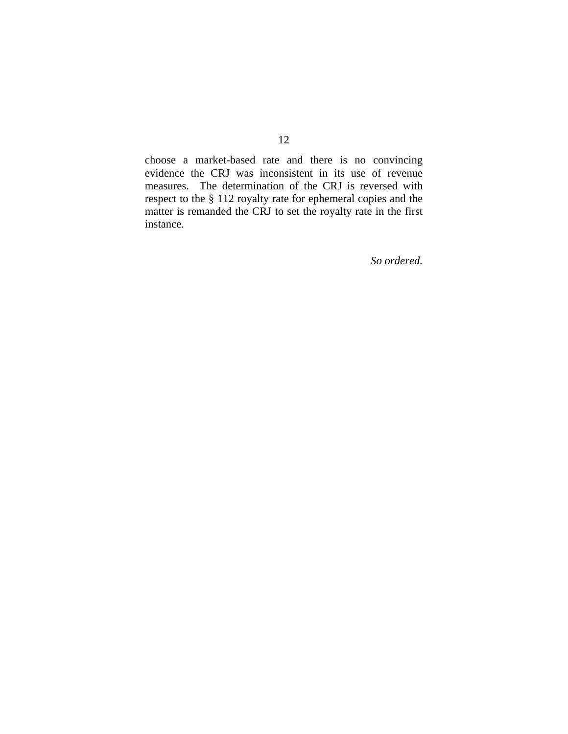choose a market-based rate and there is no convincing evidence the CRJ was inconsistent in its use of revenue measures. The determination of the CRJ is reversed with respect to the § 112 royalty rate for ephemeral copies and the matter is remanded the CRJ to set the royalty rate in the first instance.

*So ordered.*